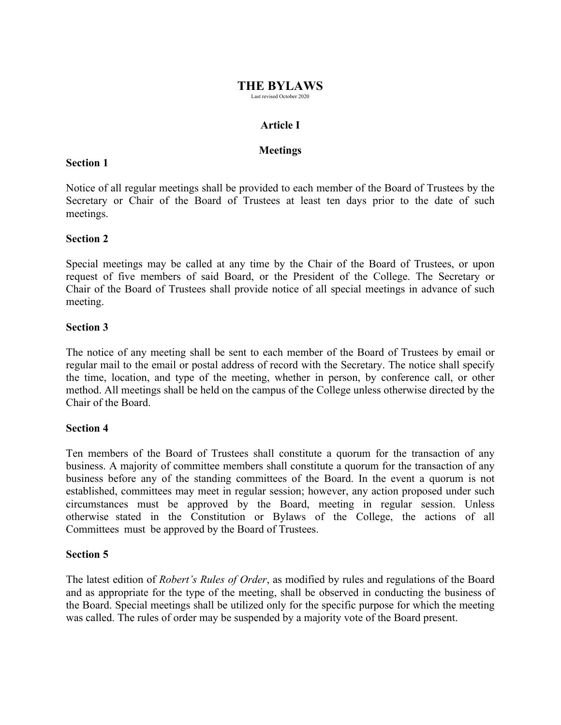# **THE BYLAWS**

Last revised October 2020

# **Article I**

# **Meetings**

### **Section 1**

Notice of all regular meetings shall be provided to each member of the Board of Trustees by the Secretary or Chair of the Board of Trustees at least ten days prior to the date of such meetings.

## **Section 2**

Special meetings may be called at any time by the Chair of the Board of Trustees, or upon request of five members of said Board, or the President of the College. The Secretary or Chair of the Board of Trustees shall provide notice of all special meetings in advance of such meeting.

# **Section 3**

The notice of any meeting shall be sent to each member of the Board of Trustees by email or regular mail to the email or postal address of record with the Secretary. The notice shall specify the time, location, and type of the meeting, whether in person, by conference call, or other method. All meetings shall be held on the campus of the College unless otherwise directed by the Chair of the Board.

## **Section 4**

Ten members of the Board of Trustees shall constitute a quorum for the transaction of any business. A majority of committee members shall constitute a quorum for the transaction of any business before any of the standing committees of the Board. In the event a quorum is not established, committees may meet in regular session; however, any action proposed under such circumstances must be approved by the Board, meeting in regular session. Unless otherwise stated in the Constitution or Bylaws of the College, the actions of all Committees must be approved by the Board of Trustees.

## **Section 5**

The latest edition of *Robert's Rules of Order*, as modified by rules and regulations of the Board and as appropriate for the type of the meeting, shall be observed in conducting the business of the Board. Special meetings shall be utilized only for the specific purpose for which the meeting was called. The rules of order may be suspended by a majority vote of the Board present.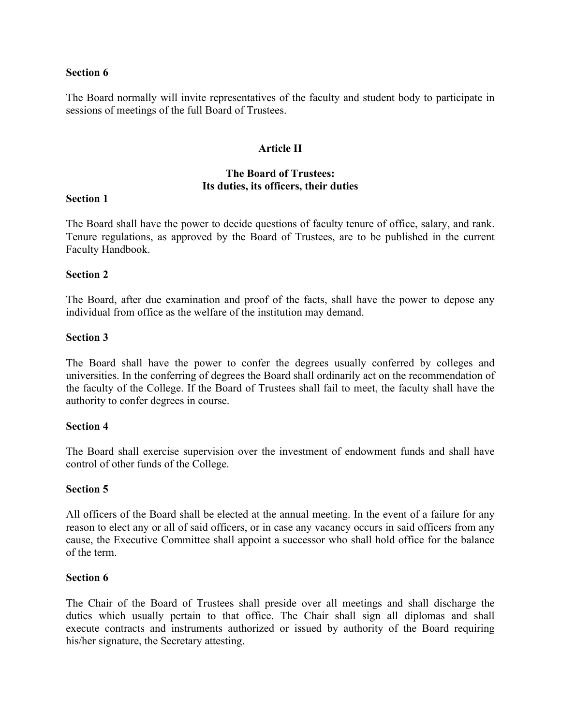The Board normally will invite representatives of the faculty and student body to participate in sessions of meetings of the full Board of Trustees.

# **Article II**

# **The Board of Trustees: Its duties, its officers, their duties**

### **Section 1**

The Board shall have the power to decide questions of faculty tenure of office, salary, and rank. Tenure regulations, as approved by the Board of Trustees, are to be published in the current Faculty Handbook.

### **Section 2**

The Board, after due examination and proof of the facts, shall have the power to depose any individual from office as the welfare of the institution may demand.

### **Section 3**

The Board shall have the power to confer the degrees usually conferred by colleges and universities. In the conferring of degrees the Board shall ordinarily act on the recommendation of the faculty of the College. If the Board of Trustees shall fail to meet, the faculty shall have the authority to confer degrees in course.

#### **Section 4**

The Board shall exercise supervision over the investment of endowment funds and shall have control of other funds of the College.

#### **Section 5**

All officers of the Board shall be elected at the annual meeting. In the event of a failure for any reason to elect any or all of said officers, or in case any vacancy occurs in said officers from any cause, the Executive Committee shall appoint a successor who shall hold office for the balance of the term.

#### **Section 6**

The Chair of the Board of Trustees shall preside over all meetings and shall discharge the duties which usually pertain to that office. The Chair shall sign all diplomas and shall execute contracts and instruments authorized or issued by authority of the Board requiring his/her signature, the Secretary attesting.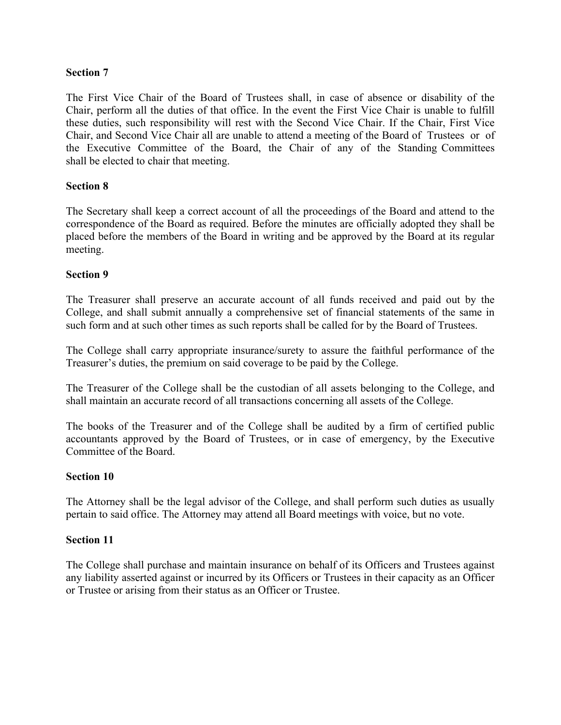The First Vice Chair of the Board of Trustees shall, in case of absence or disability of the Chair, perform all the duties of that office. In the event the First Vice Chair is unable to fulfill these duties, such responsibility will rest with the Second Vice Chair. If the Chair, First Vice Chair, and Second Vice Chair all are unable to attend a meeting of the Board of Trustees or of the Executive Committee of the Board, the Chair of any of the Standing Committees shall be elected to chair that meeting.

# **Section 8**

The Secretary shall keep a correct account of all the proceedings of the Board and attend to the correspondence of the Board as required. Before the minutes are officially adopted they shall be placed before the members of the Board in writing and be approved by the Board at its regular meeting.

## **Section 9**

The Treasurer shall preserve an accurate account of all funds received and paid out by the College, and shall submit annually a comprehensive set of financial statements of the same in such form and at such other times as such reports shall be called for by the Board of Trustees.

The College shall carry appropriate insurance/surety to assure the faithful performance of the Treasurer's duties, the premium on said coverage to be paid by the College.

The Treasurer of the College shall be the custodian of all assets belonging to the College, and shall maintain an accurate record of all transactions concerning all assets of the College.

The books of the Treasurer and of the College shall be audited by a firm of certified public accountants approved by the Board of Trustees, or in case of emergency, by the Executive Committee of the Board.

## **Section 10**

The Attorney shall be the legal advisor of the College, and shall perform such duties as usually pertain to said office. The Attorney may attend all Board meetings with voice, but no vote.

## **Section 11**

The College shall purchase and maintain insurance on behalf of its Officers and Trustees against any liability asserted against or incurred by its Officers or Trustees in their capacity as an Officer or Trustee or arising from their status as an Officer or Trustee.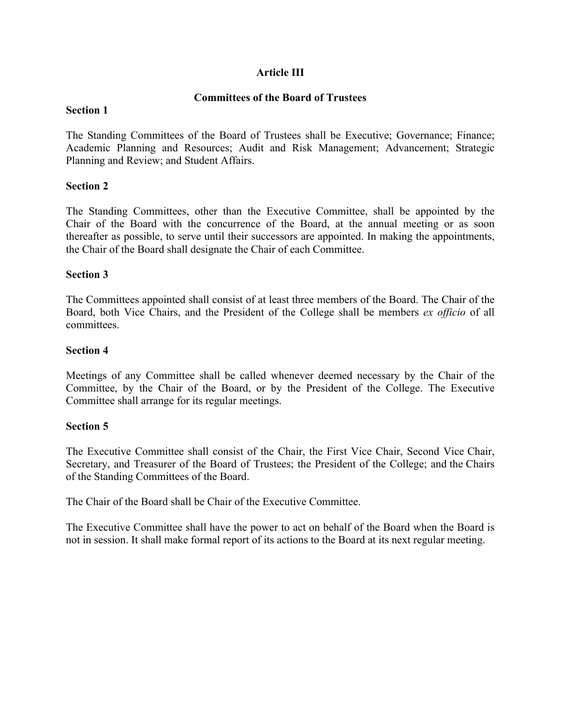# **Article III**

# **Committees of the Board of Trustees**

### **Section 1**

The Standing Committees of the Board of Trustees shall be Executive; Governance; Finance; Academic Planning and Resources; Audit and Risk Management; Advancement; Strategic Planning and Review; and Student Affairs.

## **Section 2**

The Standing Committees, other than the Executive Committee, shall be appointed by the Chair of the Board with the concurrence of the Board, at the annual meeting or as soon thereafter as possible, to serve until their successors are appointed. In making the appointments, the Chair of the Board shall designate the Chair of each Committee.

### **Section 3**

The Committees appointed shall consist of at least three members of the Board. The Chair of the Board, both Vice Chairs, and the President of the College shall be members *ex officio* of all committees.

### **Section 4**

Meetings of any Committee shall be called whenever deemed necessary by the Chair of the Committee, by the Chair of the Board, or by the President of the College. The Executive Committee shall arrange for its regular meetings.

#### **Section 5**

The Executive Committee shall consist of the Chair, the First Vice Chair, Second Vice Chair, Secretary, and Treasurer of the Board of Trustees; the President of the College; and the Chairs of the Standing Committees of the Board.

The Chair of the Board shall be Chair of the Executive Committee.

The Executive Committee shall have the power to act on behalf of the Board when the Board is not in session. It shall make formal report of its actions to the Board at its next regular meeting.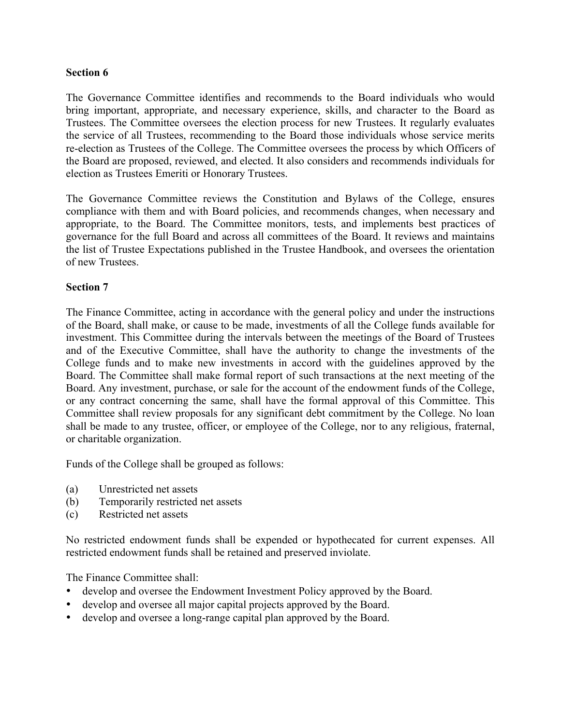The Governance Committee identifies and recommends to the Board individuals who would bring important, appropriate, and necessary experience, skills, and character to the Board as Trustees. The Committee oversees the election process for new Trustees. It regularly evaluates the service of all Trustees, recommending to the Board those individuals whose service merits re-election as Trustees of the College. The Committee oversees the process by which Officers of the Board are proposed, reviewed, and elected. It also considers and recommends individuals for election as Trustees Emeriti or Honorary Trustees.

The Governance Committee reviews the Constitution and Bylaws of the College, ensures compliance with them and with Board policies, and recommends changes, when necessary and appropriate, to the Board. The Committee monitors, tests, and implements best practices of governance for the full Board and across all committees of the Board. It reviews and maintains the list of Trustee Expectations published in the Trustee Handbook, and oversees the orientation of new Trustees.

# **Section 7**

The Finance Committee, acting in accordance with the general policy and under the instructions of the Board, shall make, or cause to be made, investments of all the College funds available for investment. This Committee during the intervals between the meetings of the Board of Trustees and of the Executive Committee, shall have the authority to change the investments of the College funds and to make new investments in accord with the guidelines approved by the Board. The Committee shall make formal report of such transactions at the next meeting of the Board. Any investment, purchase, or sale for the account of the endowment funds of the College, or any contract concerning the same, shall have the formal approval of this Committee. This Committee shall review proposals for any significant debt commitment by the College. No loan shall be made to any trustee, officer, or employee of the College, nor to any religious, fraternal, or charitable organization.

Funds of the College shall be grouped as follows:

- (a) Unrestricted net assets
- (b) Temporarily restricted net assets
- (c) Restricted net assets

No restricted endowment funds shall be expended or hypothecated for current expenses. All restricted endowment funds shall be retained and preserved inviolate.

The Finance Committee shall:

- develop and oversee the Endowment Investment Policy approved by the Board.
- develop and oversee all major capital projects approved by the Board.
- develop and oversee a long-range capital plan approved by the Board.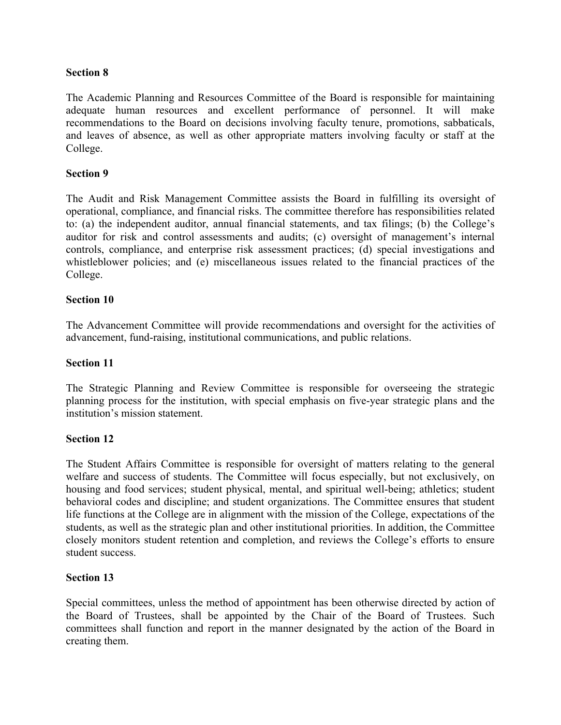The Academic Planning and Resources Committee of the Board is responsible for maintaining adequate human resources and excellent performance of personnel. It will make recommendations to the Board on decisions involving faculty tenure, promotions, sabbaticals, and leaves of absence, as well as other appropriate matters involving faculty or staff at the College.

## **Section 9**

The Audit and Risk Management Committee assists the Board in fulfilling its oversight of operational, compliance, and financial risks. The committee therefore has responsibilities related to: (a) the independent auditor, annual financial statements, and tax filings; (b) the College's auditor for risk and control assessments and audits; (c) oversight of management's internal controls, compliance, and enterprise risk assessment practices; (d) special investigations and whistleblower policies; and (e) miscellaneous issues related to the financial practices of the College.

### **Section 10**

The Advancement Committee will provide recommendations and oversight for the activities of advancement, fund-raising, institutional communications, and public relations.

#### **Section 11**

The Strategic Planning and Review Committee is responsible for overseeing the strategic planning process for the institution, with special emphasis on five-year strategic plans and the institution's mission statement.

#### **Section 12**

The Student Affairs Committee is responsible for oversight of matters relating to the general welfare and success of students. The Committee will focus especially, but not exclusively, on housing and food services; student physical, mental, and spiritual well-being; athletics; student behavioral codes and discipline; and student organizations. The Committee ensures that student life functions at the College are in alignment with the mission of the College, expectations of the students, as well as the strategic plan and other institutional priorities. In addition, the Committee closely monitors student retention and completion, and reviews the College's efforts to ensure student success.

#### **Section 13**

Special committees, unless the method of appointment has been otherwise directed by action of the Board of Trustees, shall be appointed by the Chair of the Board of Trustees. Such committees shall function and report in the manner designated by the action of the Board in creating them.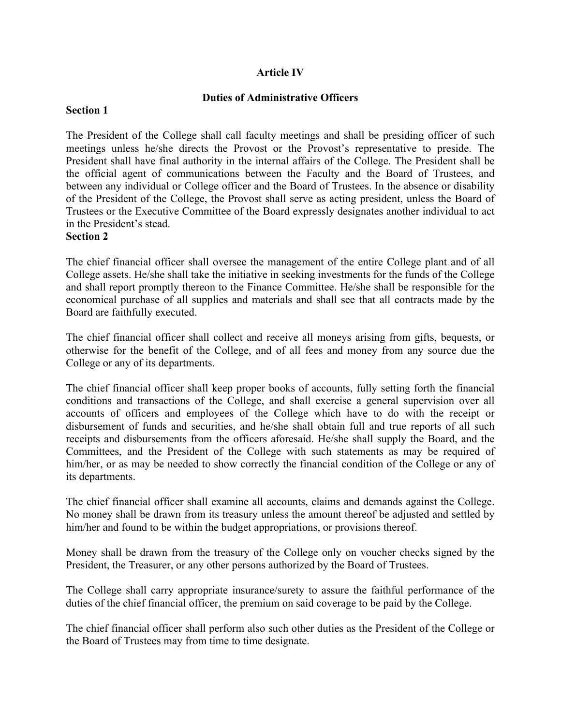# **Article IV**

## **Duties of Administrative Officers**

### **Section 1**

The President of the College shall call faculty meetings and shall be presiding officer of such meetings unless he/she directs the Provost or the Provost's representative to preside. The President shall have final authority in the internal affairs of the College. The President shall be the official agent of communications between the Faculty and the Board of Trustees, and between any individual or College officer and the Board of Trustees. In the absence or disability of the President of the College, the Provost shall serve as acting president, unless the Board of Trustees or the Executive Committee of the Board expressly designates another individual to act in the President's stead.

### **Section 2**

The chief financial officer shall oversee the management of the entire College plant and of all College assets. He/she shall take the initiative in seeking investments for the funds of the College and shall report promptly thereon to the Finance Committee. He/she shall be responsible for the economical purchase of all supplies and materials and shall see that all contracts made by the Board are faithfully executed.

The chief financial officer shall collect and receive all moneys arising from gifts, bequests, or otherwise for the benefit of the College, and of all fees and money from any source due the College or any of its departments.

The chief financial officer shall keep proper books of accounts, fully setting forth the financial conditions and transactions of the College, and shall exercise a general supervision over all accounts of officers and employees of the College which have to do with the receipt or disbursement of funds and securities, and he/she shall obtain full and true reports of all such receipts and disbursements from the officers aforesaid. He/she shall supply the Board, and the Committees, and the President of the College with such statements as may be required of him/her, or as may be needed to show correctly the financial condition of the College or any of its departments.

The chief financial officer shall examine all accounts, claims and demands against the College. No money shall be drawn from its treasury unless the amount thereof be adjusted and settled by him/her and found to be within the budget appropriations, or provisions thereof.

Money shall be drawn from the treasury of the College only on voucher checks signed by the President, the Treasurer, or any other persons authorized by the Board of Trustees.

The College shall carry appropriate insurance/surety to assure the faithful performance of the duties of the chief financial officer, the premium on said coverage to be paid by the College.

The chief financial officer shall perform also such other duties as the President of the College or the Board of Trustees may from time to time designate.